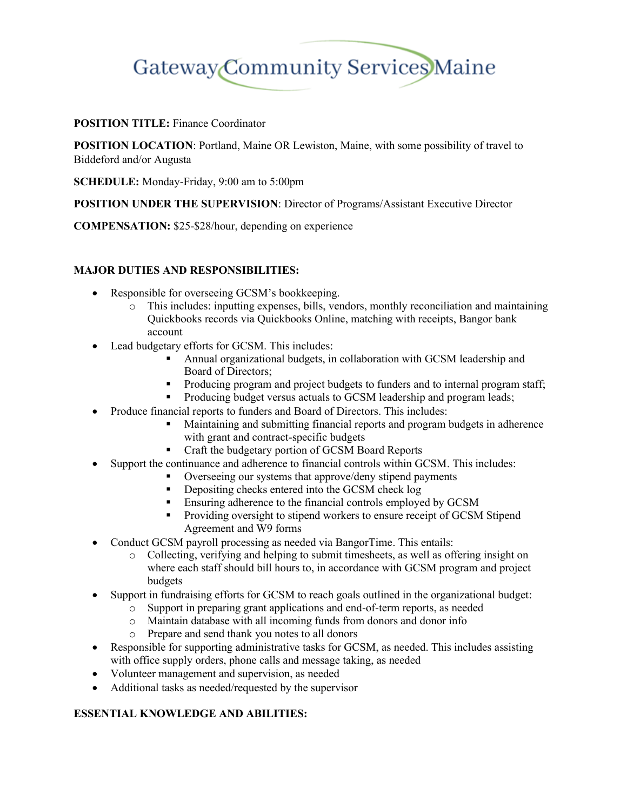# Gateway Community Services Maine

### **POSITION TITLE:** Finance Coordinator

**POSITION LOCATION**: Portland, Maine OR Lewiston, Maine, with some possibility of travel to Biddeford and/or Augusta

**SCHEDULE:** Monday-Friday, 9:00 am to 5:00pm

**POSITION UNDER THE SUPERVISION**: Director of Programs/Assistant Executive Director

**COMPENSATION:** \$25-\$28/hour, depending on experience

### **MAJOR DUTIES AND RESPONSIBILITIES:**

- Responsible for overseeing GCSM's bookkeeping.
	- o This includes: inputting expenses, bills, vendors, monthly reconciliation and maintaining Quickbooks records via Quickbooks Online, matching with receipts, Bangor bank account
- Lead budgetary efforts for GCSM. This includes:
	- Annual organizational budgets, in collaboration with GCSM leadership and Board of Directors;
	- Producing program and project budgets to funders and to internal program staff;
	- **•** Producing budget versus actuals to GCSM leadership and program leads;
- Produce financial reports to funders and Board of Directors. This includes:
	- Maintaining and submitting financial reports and program budgets in adherence with grant and contract-specific budgets
	- Craft the budgetary portion of GCSM Board Reports
- Support the continuance and adherence to financial controls within GCSM. This includes:
	- Overseeing our systems that approve/deny stipend payments
	- **•** Depositing checks entered into the GCSM check log
	- **Ensuring adherence to the financial controls employed by GCSM**
	- **•** Providing oversight to stipend workers to ensure receipt of GCSM Stipend Agreement and W9 forms
- Conduct GCSM payroll processing as needed via BangorTime. This entails:
	- o Collecting, verifying and helping to submit timesheets, as well as offering insight on where each staff should bill hours to, in accordance with GCSM program and project budgets
- Support in fundraising efforts for GCSM to reach goals outlined in the organizational budget:
	- o Support in preparing grant applications and end-of-term reports, as needed
	- o Maintain database with all incoming funds from donors and donor info
	- o Prepare and send thank you notes to all donors
- Responsible for supporting administrative tasks for GCSM, as needed. This includes assisting with office supply orders, phone calls and message taking, as needed
- Volunteer management and supervision, as needed
- Additional tasks as needed/requested by the supervisor

#### **ESSENTIAL KNOWLEDGE AND ABILITIES:**